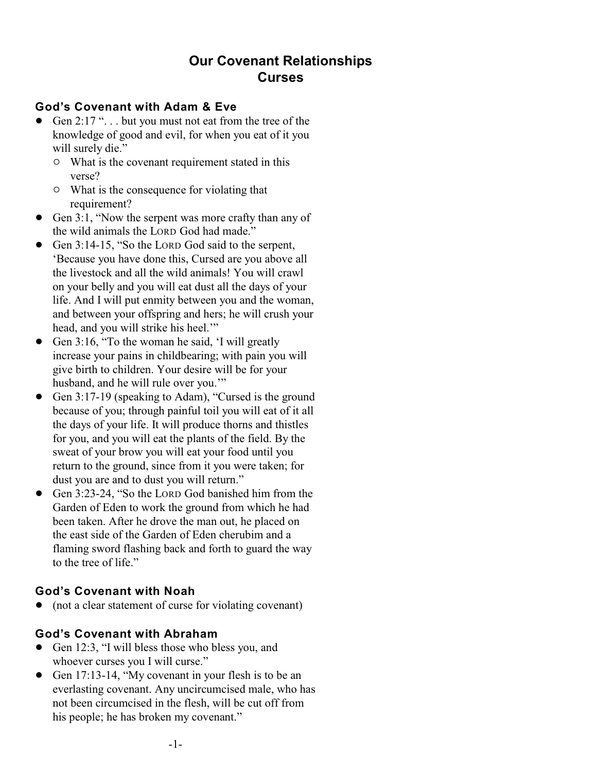# **Our Covenant Relationships Curses**

#### **God's Covenant with Adam & Eve**

- Gen  $2:17$  "... but you must not eat from the tree of the knowledge of good and evil, for when you eat of it you will surely die."
	- $\circ$  What is the covenant requirement stated in this verse?
	- $\circ$  What is the consequence for violating that requirement?
- Gen 3:1, "Now the serpent was more crafty than any of the wild animals the LORD God had made."
- Gen 3:14-15, "So the LORD God said to the serpent, 'Because you have done this, Cursed are you above all the livestock and all the wild animals! You will crawl on your belly and you will eat dust all the days of your life. And I will put enmity between you and the woman, and between your offspring and hers; he will crush your head, and you will strike his heel.'"
- Gen 3:16, "To the woman he said, 'I will greatly increase your pains in childbearing; with pain you will give birth to children. Your desire will be for your husband, and he will rule over you.'"
- Gen 3:17-19 (speaking to Adam), "Cursed is the ground because of you; through painful toil you will eat of it all the days of your life. It will produce thorns and thistles for you, and you will eat the plants of the field. By the sweat of your brow you will eat your food until you return to the ground, since from it you were taken; for dust you are and to dust you will return."
- Gen 3:23-24, "So the LORD God banished him from the Garden of Eden to work the ground from which he had been taken. After he drove the man out, he placed on the east side of the Garden of Eden cherubim and a flaming sword flashing back and forth to guard the way to the tree of life."

#### **God's Covenant with Noah**

• (not a clear statement of curse for violating covenant)

### **God's Covenant with Abraham**

- Gen 12:3, "I will bless those who bless you, and whoever curses you I will curse."
- Gen 17:13-14, "My covenant in your flesh is to be an everlasting covenant. Any uncircumcised male, who has not been circumcised in the flesh, will be cut off from his people; he has broken my covenant."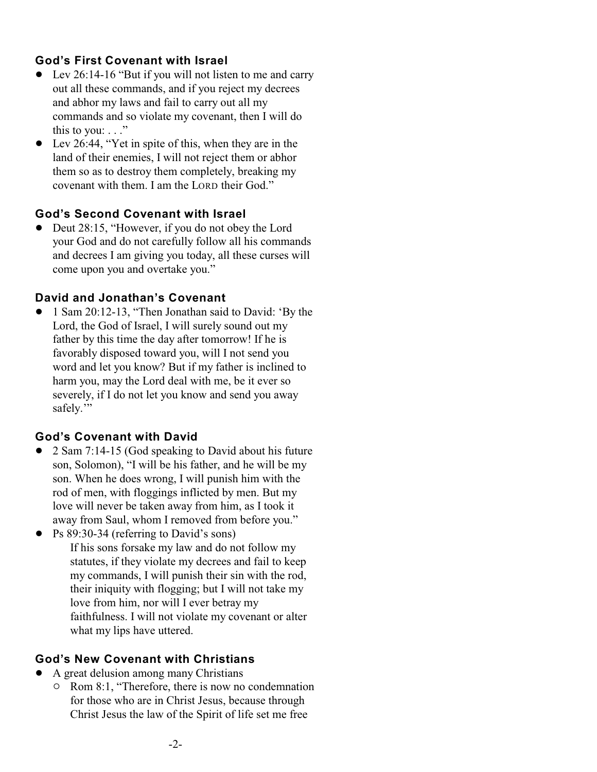#### **God's First Covenant with Israel**

- Lev 26:14-16 "But if you will not listen to me and carry out all these commands, and if you reject my decrees and abhor my laws and fail to carry out all my commands and so violate my covenant, then I will do this to you:  $\ldots$ "
- ! Lev 26:44, "Yet in spite of this, when they are in the land of their enemies, I will not reject them or abhor them so as to destroy them completely, breaking my covenant with them. I am the LORD their God."

#### **God's Second Covenant with Israel**

• Deut 28:15, "However, if you do not obey the Lord your God and do not carefully follow all his commands and decrees I am giving you today, all these curses will come upon you and overtake you."

#### **David and Jonathan's Covenant**

• 1 Sam 20:12-13, "Then Jonathan said to David: 'By the Lord, the God of Israel, I will surely sound out my father by this time the day after tomorrow! If he is favorably disposed toward you, will I not send you word and let you know? But if my father is inclined to harm you, may the Lord deal with me, be it ever so severely, if I do not let you know and send you away safely."

### **God's Covenant with David**

- ! 2 Sam 7:14-15 (God speaking to David about his future son, Solomon), "I will be his father, and he will be my son. When he does wrong, I will punish him with the rod of men, with floggings inflicted by men. But my love will never be taken away from him, as I took it away from Saul, whom I removed from before you."
- Ps 89:30-34 (referring to David's sons) If his sons forsake my law and do not follow my statutes, if they violate my decrees and fail to keep my commands, I will punish their sin with the rod, their iniquity with flogging; but I will not take my love from him, nor will I ever betray my faithfulness. I will not violate my covenant or alter what my lips have uttered.

#### **God's New Covenant with Christians**

- A great delusion among many Christians
	- $\circ$  Rom 8:1, "Therefore, there is now no condemnation for those who are in Christ Jesus, because through Christ Jesus the law of the Spirit of life set me free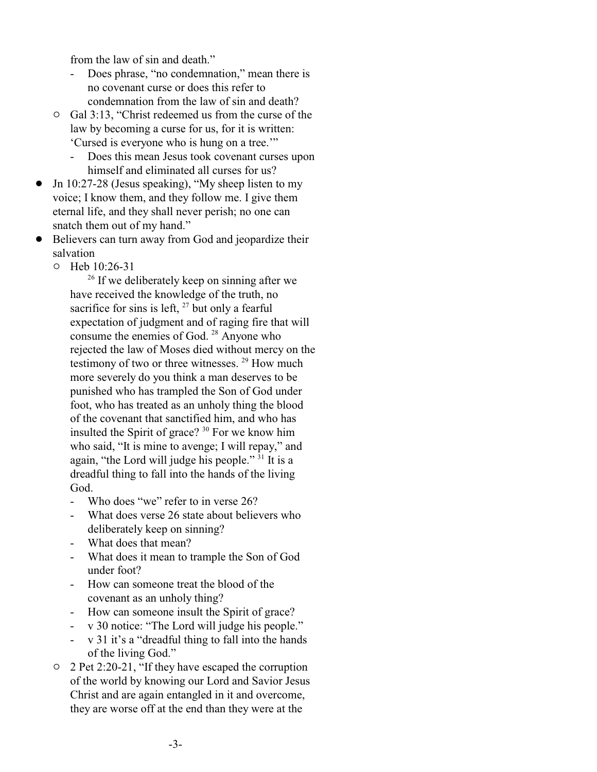from the law of sin and death."

- Does phrase, "no condemnation," mean there is no covenant curse or does this refer to condemnation from the law of sin and death?
- $\circ$  Gal 3:13, "Christ redeemed us from the curse of the law by becoming a curse for us, for it is written: 'Cursed is everyone who is hung on a tree.'"
	- Does this mean Jesus took covenant curses upon himself and eliminated all curses for us?
- $\bullet$  Jn 10:27-28 (Jesus speaking), "My sheep listen to my voice; I know them, and they follow me. I give them eternal life, and they shall never perish; no one can snatch them out of my hand."
- Believers can turn away from God and jeopardize their salvation
	- $O$  Heb  $10:26-31$

 $26$  If we deliberately keep on sinning after we have received the knowledge of the truth, no sacrifice for sins is left,  $27$  but only a fearful expectation of judgment and of raging fire that will consume the enemies of God.  $28$  Anyone who rejected the law of Moses died without mercy on the testimony of two or three witnesses.  $29$  How much more severely do you think a man deserves to be punished who has trampled the Son of God under foot, who has treated as an unholy thing the blood of the covenant that sanctified him, and who has insulted the Spirit of grace?  $30$  For we know him who said, "It is mine to avenge; I will repay," and again, "the Lord will judge his people."  $31$  It is a dreadful thing to fall into the hands of the living God.

- Who does "we" refer to in verse 26?
- What does verse 26 state about believers who deliberately keep on sinning?
- What does that mean?
- What does it mean to trample the Son of God under foot?
- How can someone treat the blood of the covenant as an unholy thing?
- How can someone insult the Spirit of grace?
- v 30 notice: "The Lord will judge his people."
- v 31 it's a "dreadful thing to fall into the hands of the living God."
- $\circ$  2 Pet 2:20-21, "If they have escaped the corruption of the world by knowing our Lord and Savior Jesus Christ and are again entangled in it and overcome, they are worse off at the end than they were at the